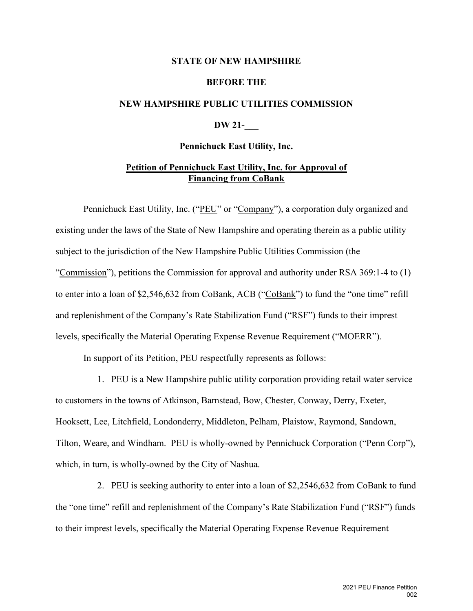#### **STATE OF NEW HAMPSHIRE**

#### **BEFORE THE**

## **NEW HAMPSHIRE PUBLIC UTILITIES COMMISSION**

# **DW 21-\_\_\_**

#### **Pennichuck East Utility, Inc.**

# **Petition of Pennichuck East Utility, Inc. for Approval of Financing from CoBank**

Pennichuck East Utility, Inc. ("PEU" or "Company"), a corporation duly organized and existing under the laws of the State of New Hampshire and operating therein as a public utility subject to the jurisdiction of the New Hampshire Public Utilities Commission (the "Commission"), petitions the Commission for approval and authority under RSA 369:1-4 to (1) to enter into a loan of \$2,546,632 from CoBank, ACB ("CoBank") to fund the "one time" refill and replenishment of the Company's Rate Stabilization Fund ("RSF") funds to their imprest levels, specifically the Material Operating Expense Revenue Requirement ("MOERR").

In support of its Petition, PEU respectfully represents as follows:

1. PEU is a New Hampshire public utility corporation providing retail water service to customers in the towns of Atkinson, Barnstead, Bow, Chester, Conway, Derry, Exeter, Hooksett, Lee, Litchfield, Londonderry, Middleton, Pelham, Plaistow, Raymond, Sandown, Tilton, Weare, and Windham. PEU is wholly-owned by Pennichuck Corporation ("Penn Corp"), which, in turn, is wholly-owned by the City of Nashua.

2. PEU is seeking authority to enter into a loan of \$2,2546,632 from CoBank to fund the "one time" refill and replenishment of the Company's Rate Stabilization Fund ("RSF") funds to their imprest levels, specifically the Material Operating Expense Revenue Requirement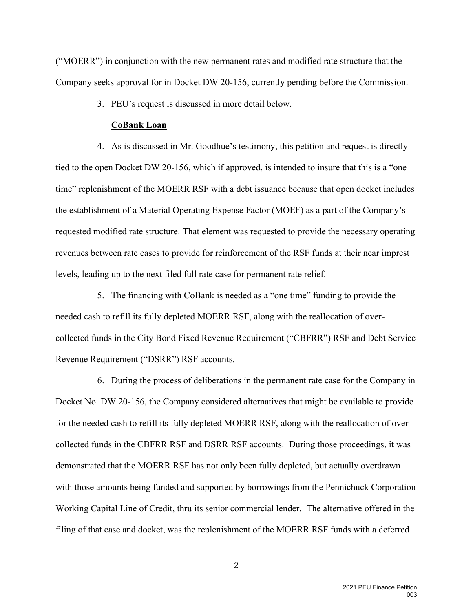("MOERR") in conjunction with the new permanent rates and modified rate structure that the Company seeks approval for in Docket DW 20-156, currently pending before the Commission.

3. PEU's request is discussed in more detail below.

## **CoBank Loan**

4. As is discussed in Mr. Goodhue's testimony, this petition and request is directly tied to the open Docket DW 20-156, which if approved, is intended to insure that this is a "one time" replenishment of the MOERR RSF with a debt issuance because that open docket includes the establishment of a Material Operating Expense Factor (MOEF) as a part of the Company's requested modified rate structure. That element was requested to provide the necessary operating revenues between rate cases to provide for reinforcement of the RSF funds at their near imprest levels, leading up to the next filed full rate case for permanent rate relief.

5. The financing with CoBank is needed as a "one time" funding to provide the needed cash to refill its fully depleted MOERR RSF, along with the reallocation of overcollected funds in the City Bond Fixed Revenue Requirement ("CBFRR") RSF and Debt Service Revenue Requirement ("DSRR") RSF accounts.

6. During the process of deliberations in the permanent rate case for the Company in Docket No. DW 20-156, the Company considered alternatives that might be available to provide for the needed cash to refill its fully depleted MOERR RSF, along with the reallocation of overcollected funds in the CBFRR RSF and DSRR RSF accounts. During those proceedings, it was demonstrated that the MOERR RSF has not only been fully depleted, but actually overdrawn with those amounts being funded and supported by borrowings from the Pennichuck Corporation Working Capital Line of Credit, thru its senior commercial lender. The alternative offered in the filing of that case and docket, was the replenishment of the MOERR RSF funds with a deferred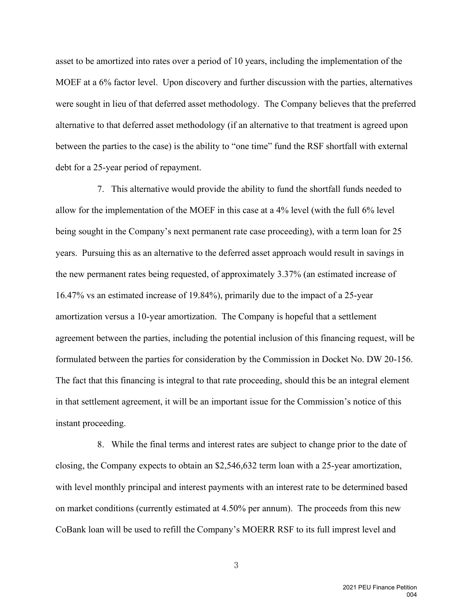asset to be amortized into rates over a period of 10 years, including the implementation of the MOEF at a 6% factor level. Upon discovery and further discussion with the parties, alternatives were sought in lieu of that deferred asset methodology. The Company believes that the preferred alternative to that deferred asset methodology (if an alternative to that treatment is agreed upon between the parties to the case) is the ability to "one time" fund the RSF shortfall with external debt for a 25-year period of repayment.

7. This alternative would provide the ability to fund the shortfall funds needed to allow for the implementation of the MOEF in this case at a 4% level (with the full 6% level being sought in the Company's next permanent rate case proceeding), with a term loan for 25 years. Pursuing this as an alternative to the deferred asset approach would result in savings in the new permanent rates being requested, of approximately 3.37% (an estimated increase of 16.47% vs an estimated increase of 19.84%), primarily due to the impact of a 25-year amortization versus a 10-year amortization. The Company is hopeful that a settlement agreement between the parties, including the potential inclusion of this financing request, will be formulated between the parties for consideration by the Commission in Docket No. DW 20-156. The fact that this financing is integral to that rate proceeding, should this be an integral element in that settlement agreement, it will be an important issue for the Commission's notice of this instant proceeding.

8. While the final terms and interest rates are subject to change prior to the date of closing, the Company expects to obtain an \$2,546,632 term loan with a 25-year amortization, with level monthly principal and interest payments with an interest rate to be determined based on market conditions (currently estimated at 4.50% per annum). The proceeds from this new CoBank loan will be used to refill the Company's MOERR RSF to its full imprest level and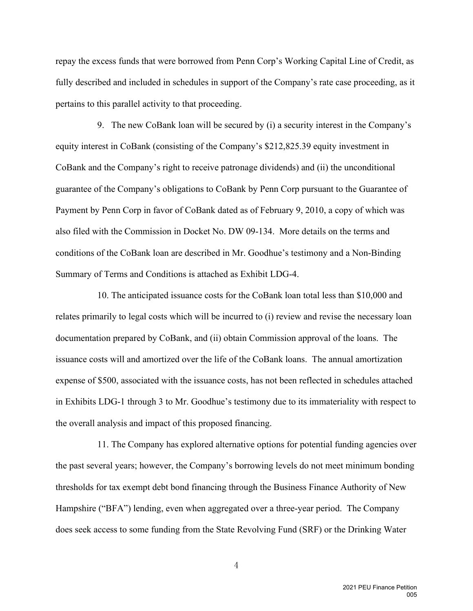repay the excess funds that were borrowed from Penn Corp's Working Capital Line of Credit, as fully described and included in schedules in support of the Company's rate case proceeding, as it pertains to this parallel activity to that proceeding.

9. The new CoBank loan will be secured by (i) a security interest in the Company's equity interest in CoBank (consisting of the Company's \$212,825.39 equity investment in CoBank and the Company's right to receive patronage dividends) and (ii) the unconditional guarantee of the Company's obligations to CoBank by Penn Corp pursuant to the Guarantee of Payment by Penn Corp in favor of CoBank dated as of February 9, 2010, a copy of which was also filed with the Commission in Docket No. DW 09-134. More details on the terms and conditions of the CoBank loan are described in Mr. Goodhue's testimony and a Non-Binding Summary of Terms and Conditions is attached as Exhibit LDG-4.

10. The anticipated issuance costs for the CoBank loan total less than \$10,000 and relates primarily to legal costs which will be incurred to (i) review and revise the necessary loan documentation prepared by CoBank, and (ii) obtain Commission approval of the loans. The issuance costs will and amortized over the life of the CoBank loans. The annual amortization expense of \$500, associated with the issuance costs, has not been reflected in schedules attached in Exhibits LDG-1 through 3 to Mr. Goodhue's testimony due to its immateriality with respect to the overall analysis and impact of this proposed financing.

11. The Company has explored alternative options for potential funding agencies over the past several years; however, the Company's borrowing levels do not meet minimum bonding thresholds for tax exempt debt bond financing through the Business Finance Authority of New Hampshire ("BFA") lending, even when aggregated over a three-year period. The Company does seek access to some funding from the State Revolving Fund (SRF) or the Drinking Water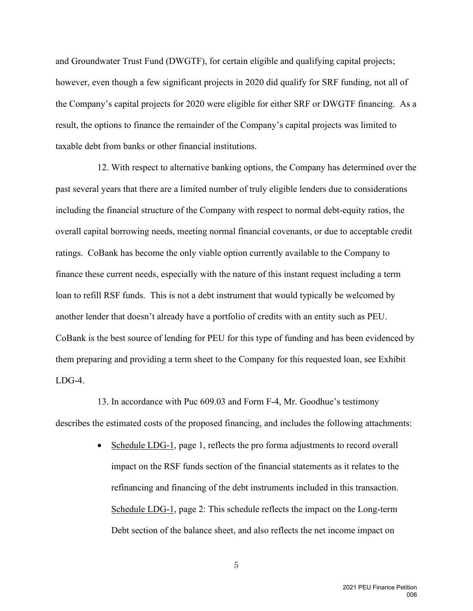and Groundwater Trust Fund (DWGTF), for certain eligible and qualifying capital projects; however, even though a few significant projects in 2020 did qualify for SRF funding, not all of the Company's capital projects for 2020 were eligible for either SRF or DWGTF financing. As a result, the options to finance the remainder of the Company's capital projects was limited to taxable debt from banks or other financial institutions.

12. With respect to alternative banking options, the Company has determined over the past several years that there are a limited number of truly eligible lenders due to considerations including the financial structure of the Company with respect to normal debt-equity ratios, the overall capital borrowing needs, meeting normal financial covenants, or due to acceptable credit ratings. CoBank has become the only viable option currently available to the Company to finance these current needs, especially with the nature of this instant request including a term loan to refill RSF funds. This is not a debt instrument that would typically be welcomed by another lender that doesn't already have a portfolio of credits with an entity such as PEU. CoBank is the best source of lending for PEU for this type of funding and has been evidenced by them preparing and providing a term sheet to the Company for this requested loan, see Exhibit LDG-4.

13. In accordance with Puc 609.03 and Form F-4, Mr. Goodhue's testimony describes the estimated costs of the proposed financing, and includes the following attachments:

> • Schedule LDG-1, page 1, reflects the pro forma adjustments to record overall impact on the RSF funds section of the financial statements as it relates to the refinancing and financing of the debt instruments included in this transaction. Schedule LDG-1, page 2: This schedule reflects the impact on the Long-term Debt section of the balance sheet, and also reflects the net income impact on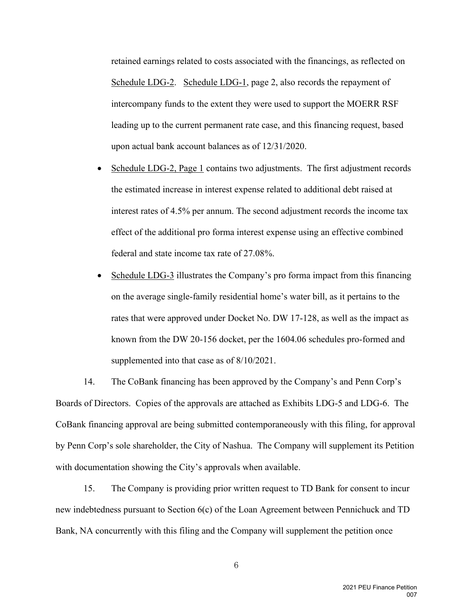retained earnings related to costs associated with the financings, as reflected on Schedule LDG-2. Schedule LDG-1, page 2, also records the repayment of intercompany funds to the extent they were used to support the MOERR RSF leading up to the current permanent rate case, and this financing request, based upon actual bank account balances as of 12/31/2020.

- Schedule LDG-2, Page 1 contains two adjustments. The first adjustment records the estimated increase in interest expense related to additional debt raised at interest rates of 4.5% per annum. The second adjustment records the income tax effect of the additional pro forma interest expense using an effective combined federal and state income tax rate of 27.08%.
- Schedule LDG-3 illustrates the Company's pro forma impact from this financing on the average single-family residential home's water bill, as it pertains to the rates that were approved under Docket No. DW 17-128, as well as the impact as known from the DW 20-156 docket, per the 1604.06 schedules pro-formed and supplemented into that case as of 8/10/2021.

14. The CoBank financing has been approved by the Company's and Penn Corp's Boards of Directors. Copies of the approvals are attached as Exhibits LDG-5 and LDG-6. The CoBank financing approval are being submitted contemporaneously with this filing, for approval by Penn Corp's sole shareholder, the City of Nashua. The Company will supplement its Petition with documentation showing the City's approvals when available.

15. The Company is providing prior written request to TD Bank for consent to incur new indebtedness pursuant to Section 6(c) of the Loan Agreement between Pennichuck and TD Bank, NA concurrently with this filing and the Company will supplement the petition once

> 2021 PEU Finance Petition 007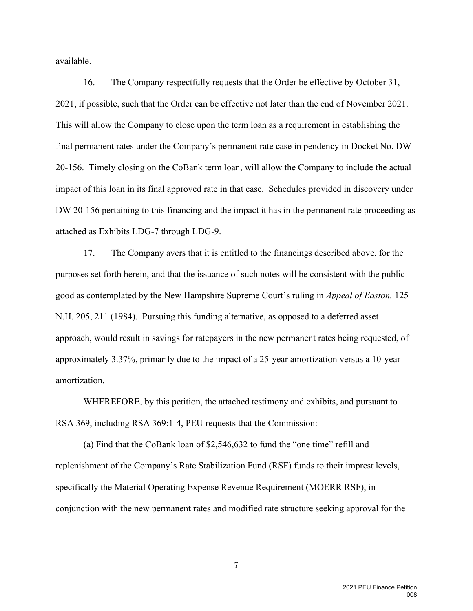available.

16. The Company respectfully requests that the Order be effective by October 31, 2021, if possible, such that the Order can be effective not later than the end of November 2021. This will allow the Company to close upon the term loan as a requirement in establishing the final permanent rates under the Company's permanent rate case in pendency in Docket No. DW 20-156. Timely closing on the CoBank term loan, will allow the Company to include the actual impact of this loan in its final approved rate in that case. Schedules provided in discovery under DW 20-156 pertaining to this financing and the impact it has in the permanent rate proceeding as attached as Exhibits LDG-7 through LDG-9.

17. The Company avers that it is entitled to the financings described above, for the purposes set forth herein, and that the issuance of such notes will be consistent with the public good as contemplated by the New Hampshire Supreme Court's ruling in *Appeal of Easton,* 125 N.H. 205, 211 (1984). Pursuing this funding alternative, as opposed to a deferred asset approach, would result in savings for ratepayers in the new permanent rates being requested, of approximately 3.37%, primarily due to the impact of a 25-year amortization versus a 10-year amortization.

WHEREFORE, by this petition, the attached testimony and exhibits, and pursuant to RSA 369, including RSA 369:1-4, PEU requests that the Commission:

(a) Find that the CoBank loan of \$2,546,632 to fund the "one time" refill and replenishment of the Company's Rate Stabilization Fund (RSF) funds to their imprest levels, specifically the Material Operating Expense Revenue Requirement (MOERR RSF), in conjunction with the new permanent rates and modified rate structure seeking approval for the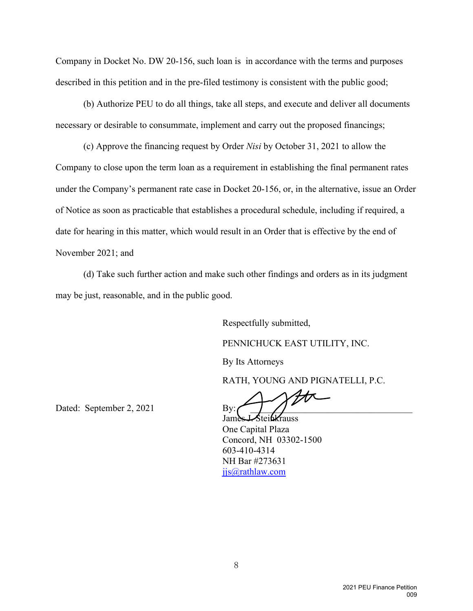Company in Docket No. DW 20-156, such loan is in accordance with the terms and purposes described in this petition and in the pre-filed testimony is consistent with the public good;

(b) Authorize PEU to do all things, take all steps, and execute and deliver all documents necessary or desirable to consummate, implement and carry out the proposed financings;

(c) Approve the financing request by Order *Nisi* by October 31, 2021 to allow the Company to close upon the term loan as a requirement in establishing the final permanent rates under the Company's permanent rate case in Docket 20-156, or, in the alternative, issue an Order of Notice as soon as practicable that establishes a procedural schedule, including if required, a date for hearing in this matter, which would result in an Order that is effective by the end of November 2021; and

(d) Take such further action and make such other findings and orders as in its judgment may be just, reasonable, and in the public good.

> Respectfully submitted, PENNICHUCK EAST UTILITY, INC.

By Its Attorneys

RATH, YOUNG AND PIGNATELLI, P.C.

Dated: September 2, 2021 By:

James J. Steinkrauss One Capital Plaza Concord, NH 03302-1500 603-410-4314 NH Bar #273631 jjs@rathlaw.com